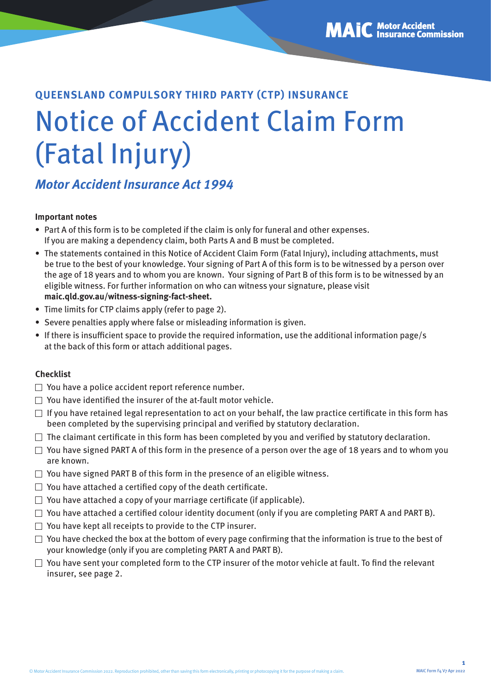# **QUEENSLAND COMPULSORY THIRD PARTY (CTP) INSURANCE** Notice of Accident Claim Form (Fatal Injury)

### **Motor Accident Insurance Act 1994**

#### **Important notes**

- Part A of this form is to be completed if the claim is only for funeral and other expenses. If you are making a dependency claim, both Parts A and B must be completed.
- The statements contained in this Notice of Accident Claim Form (Fatal Injury), including attachments, must be true to the best of your knowledge. Your signing of Part A of this form is to be witnessed by a person over the age of 18 years and to whom you are known. Your signing of Part B of this form is to be witnessed by an eligible witness. For further information on who can witness your signature, please visit **[maic.qld.gov.au/witness-signing-fact-sheet.](https://maic.qld.gov.au/wp-content/uploads/2022/04/maic-forms-fact-sheet-physical-signing-and-witnessing.pdf)**
- Time limits for CTP claims apply (refer to page 2).
- Severe penalties apply where false or misleading information is given.
- If there is insufficient space to provide the required information, use the additional information page/s at the back of this form or attach additional pages.

#### **Checklist**

- $\Box$  You have a police accident report reference number.
- $\Box$  You have identified the insurer of the at-fault motor vehicle.
- $\Box$  If you have retained legal representation to act on your behalf, the law practice certificate in this form has been completed by the supervising principal and verified by statutory declaration.
- $\Box$  The claimant certificate in this form has been completed by you and verified by statutory declaration.
- $\Box$  You have signed PART A of this form in the presence of a person over the age of 18 years and to whom you are known.
- $\Box$  You have signed PART B of this form in the presence of an eligible witness.
- $\Box$  You have attached a certified copy of the death certificate.
- $\Box$  You have attached a copy of your marriage certificate (if applicable).
- $\Box$  You have attached a certified colour identity document (only if you are completing PART A and PART B).
- $\Box$  You have kept all receipts to provide to the CTP insurer.
- $\Box$  You have checked the box at the bottom of every page confirming that the information is true to the best of your knowledge (only if you are completing PART A and PART B).
- $\Box$  You have sent your completed form to the CTP insurer of the motor vehicle at fault. To find the relevant insurer, see page 2.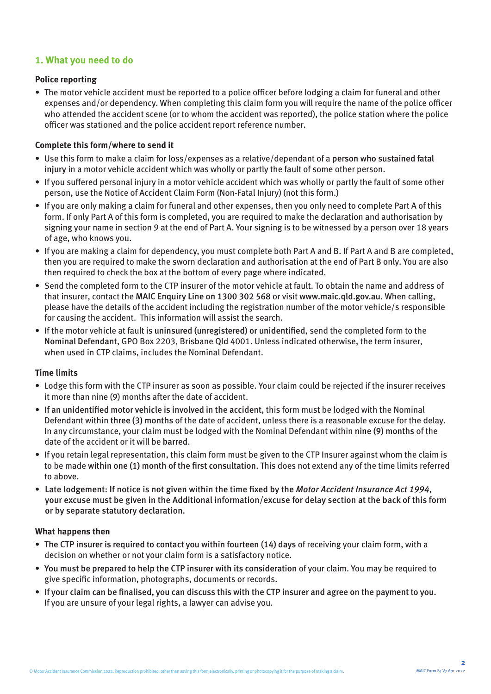#### **1. What you need to do**

#### **Police reporting**

• The motor vehicle accident must be reported to a police officer before lodging a claim for funeral and other expenses and/or dependency. When completing this claim form you will require the name of the police officer who attended the accident scene (or to whom the accident was reported), the police station where the police officer was stationed and the police accident report reference number.

#### **Complete this form/where to send it**

- Use this form to make a claim for loss/expenses as a relative/dependant of a person who sustained fatal injury in a motor vehicle accident which was wholly or partly the fault of some other person.
- If you suffered personal injury in a motor vehicle accident which was wholly or partly the fault of some other person, use the Notice of Accident Claim Form (Non-Fatal Injury) (not this form.)
- If you are only making a claim for funeral and other expenses, then you only need to complete Part A of this form. If only Part A of this form is completed, you are required to make the declaration and authorisation by signing your name in section 9 at the end of Part A. Your signing is to be witnessed by a person over 18 years of age, who knows you.
- If you are making a claim for dependency, you must complete both Part A and B. If Part A and B are completed, then you are required to make the sworn declaration and authorisation at the end of Part B only. You are also then required to check the box at the bottom of every page where indicated.
- Send the completed form to the CTP insurer of the motor vehicle at fault. To obtain the name and address of that insurer, contact the MAIC Enquiry Line on 1300 302 568 or visit [www.maic.qld.gov.au](http://www.maic.qld.gov.au). When calling, please have the details of the accident including the registration number of the motor vehicle/s responsible for causing the accident. This information will assist the search.
- If the motor vehicle at fault is uninsured (unregistered) or unidentified, send the completed form to the Nominal Defendant, GPO Box 2203, Brisbane Qld 4001. Unless indicated otherwise, the term insurer, when used in CTP claims, includes the Nominal Defendant.

#### **Time limits**

- Lodge this form with the CTP insurer as soon as possible. Your claim could be rejected if the insurer receives it more than nine (9) months after the date of accident.
- If an unidentified motor vehicle is involved in the accident, this form must be lodged with the Nominal Defendant within three (3) months of the date of accident, unless there is a reasonable excuse for the delay. In any circumstance, your claim must be lodged with the Nominal Defendant within nine (9) months of the date of the accident or it will be barred.
- If you retain legal representation, this claim form must be given to the CTP Insurer against whom the claim is to be made within one (1) month of the first consultation. This does not extend any of the time limits referred to above.
- Late lodgement: If notice is not given within the time fixed by the Motor Accident Insurance Act 1994, your excuse must be given in the Additional information/excuse for delay section at the back of this form or by separate statutory declaration.

#### **What happens then**

- The CTP insurer is required to contact you within fourteen (14) days of receiving your claim form, with a decision on whether or not your claim form is a satisfactory notice.
- You must be prepared to help the CTP insurer with its consideration of your claim. You may be required to give specific information, photographs, documents or records.
- If your claim can be finalised, you can discuss this with the CTP insurer and agree on the payment to you. If you are unsure of your legal rights, a lawyer can advise you.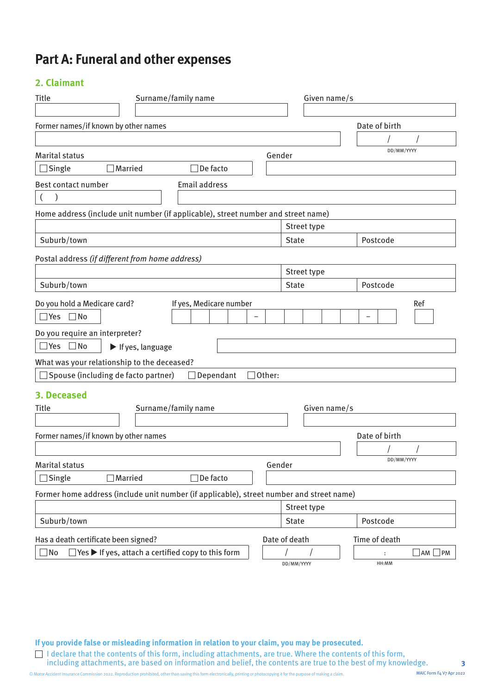### **Part A: Funeral and other expenses**

#### **2. Claimant**

| Title<br>Surname/family name                                                                                              | Given name/s  |                              |
|---------------------------------------------------------------------------------------------------------------------------|---------------|------------------------------|
|                                                                                                                           |               |                              |
| Former names/if known by other names                                                                                      |               | Date of birth                |
|                                                                                                                           |               |                              |
| <b>Marital status</b>                                                                                                     | Gender        | DD/MM/YYYY                   |
| $\Box$ Married<br>De facto<br>Single                                                                                      |               |                              |
| <b>Email address</b><br>Best contact number                                                                               |               |                              |
| $\mathcal{L}$                                                                                                             |               |                              |
| Home address (include unit number (if applicable), street number and street name)                                         |               |                              |
|                                                                                                                           | Street type   |                              |
| Suburb/town                                                                                                               | <b>State</b>  | Postcode                     |
| Postal address (if different from home address)                                                                           |               |                              |
|                                                                                                                           | Street type   |                              |
| Suburb/town                                                                                                               | <b>State</b>  | Postcode                     |
| Do you hold a Medicare card?<br>If yes, Medicare number<br>$\Box$ Yes $\Box$ No<br>Do you require an interpreter?         |               | Ref                          |
| $\Box$ Yes $\Box$ No<br>If yes, language                                                                                  |               |                              |
| What was your relationship to the deceased?                                                                               |               |                              |
| $\Box$ Spouse (including de facto partner)<br>Dependant<br>$\Box$ Other:                                                  |               |                              |
| 3. Deceased<br><b>Title</b><br>Surname/family name                                                                        | Given name/s  |                              |
| Former names/if known by other names                                                                                      |               | Date of birth                |
|                                                                                                                           |               |                              |
| <b>Marital status</b>                                                                                                     | Gender        | DD/MM/YYYY                   |
| $\Box$ Single<br>$\Box$ Married<br>$\Box$ De facto                                                                        |               |                              |
| Former home address (include unit number (if applicable), street number and street name)                                  |               |                              |
|                                                                                                                           | Street type   |                              |
| Suburb/town                                                                                                               | <b>State</b>  | Postcode                     |
|                                                                                                                           | Date of death | Time of death                |
| Has a death certificate been signed?<br>$]$ Yes $\blacktriangleright$ If yes, attach a certified copy to this form<br>∃No | DD/MM/YYYY    | $\Box$ AM $\Box$ PM<br>HH:MM |

**If you provide false or misleading information in relation to your claim, you may be prosecuted.** 

I declare that the contents of this form, including attachments, are true. Where the contents of this form, including attachments, are based on information and belief, the contents are true to the best of my knowledge.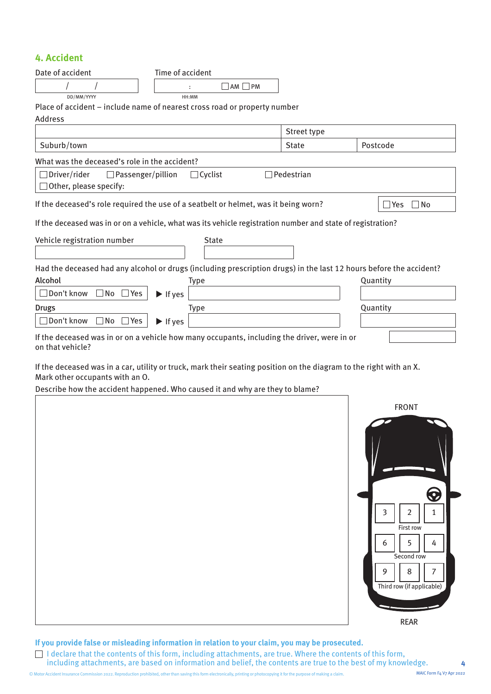#### **4. Accident**

| Date of accident                                | Time of accident                                                                                                   |              |             |
|-------------------------------------------------|--------------------------------------------------------------------------------------------------------------------|--------------|-------------|
|                                                 | $\Box$ AM $\Box$ PM                                                                                                |              |             |
| DD/MM/YYYY                                      | HH:MM                                                                                                              |              |             |
|                                                 | Place of accident - include name of nearest cross road or property number                                          |              |             |
| <b>Address</b>                                  |                                                                                                                    |              |             |
|                                                 |                                                                                                                    | Street type  |             |
| Suburb/town                                     |                                                                                                                    | <b>State</b> | Postcode    |
| What was the deceased's role in the accident?   |                                                                                                                    |              |             |
| $\Box$ Driver/rider<br>$\Box$ Passenger/pillion | $\Box$ Cyclist                                                                                                     | Pedestrian   |             |
| $\Box$ Other, please specify:                   |                                                                                                                    |              |             |
|                                                 | If the deceased's role required the use of a seatbelt or helmet, was it being worn?                                |              | Yes<br>1 No |
|                                                 | If the deceased was in or on a vehicle, what was its vehicle registration number and state of registration?        |              |             |
| Vehicle registration number                     | <b>State</b>                                                                                                       |              |             |
|                                                 | Had the deceased had any alcohol or drugs (including prescription drugs) in the last 12 hours before the accident? |              |             |
| Alcohol                                         | <b>Type</b>                                                                                                        |              | Quantity    |
| □ Don't know<br>$\Box$ No $\Box$ Yes            | $\blacktriangleright$ If yes                                                                                       |              |             |
| <b>Drugs</b>                                    | <b>Type</b>                                                                                                        |              | Quantity    |
| Don't know<br>$\Box$ No $\Box$ Yes              | $\blacktriangleright$ If yes                                                                                       |              |             |
| on that vehicle?                                | If the deceased was in or on a vehicle how many occupants, including the driver, were in or                        |              |             |
| Mark other occupants with an O.                 | If the deceased was in a car, utility or truck, mark their seating position on the diagram to the right with an X. |              |             |

Describe how the accident happened. Who caused it and why are they to blame?



**If you provide false or misleading information in relation to your claim, you may be prosecuted.** 

I declare that the contents of this form, including attachments, are true. Where the contents of this form, including attachments, are based on information and belief, the contents are true to the best of my knowledge.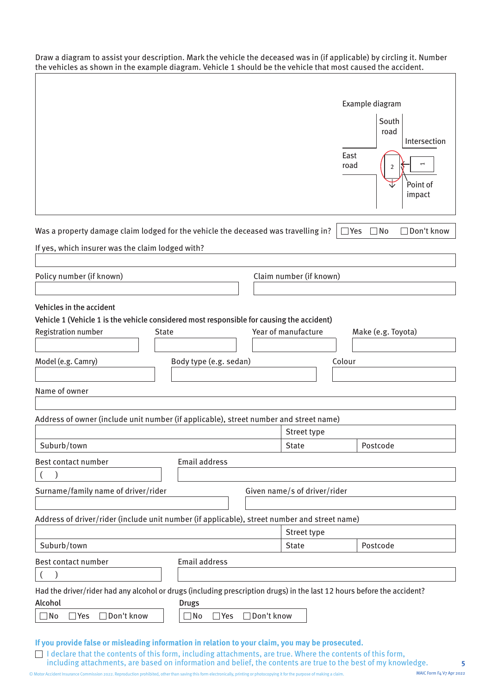Draw a diagram to assist your description. Mark the vehicle the deceased was in (if applicable) by circling it. Number the vehicles as shown in the example diagram. Vehicle 1 should be the vehicle that most caused the accident.

|                                                                                                                                                                                                                                                                                                                                   |                                         |              |                              | Example diagram<br>South<br>road<br>Intersection<br>East<br>road<br>2<br>Point of<br>impact |
|-----------------------------------------------------------------------------------------------------------------------------------------------------------------------------------------------------------------------------------------------------------------------------------------------------------------------------------|-----------------------------------------|--------------|------------------------------|---------------------------------------------------------------------------------------------|
| Was a property damage claim lodged for the vehicle the deceased was travelling in?                                                                                                                                                                                                                                                |                                         |              |                              | $\Box$ Yes<br>∃No<br>Don't know                                                             |
| If yes, which insurer was the claim lodged with?                                                                                                                                                                                                                                                                                  |                                         |              |                              |                                                                                             |
|                                                                                                                                                                                                                                                                                                                                   |                                         |              |                              |                                                                                             |
| Policy number (if known)                                                                                                                                                                                                                                                                                                          |                                         |              | Claim number (if known)      |                                                                                             |
|                                                                                                                                                                                                                                                                                                                                   |                                         |              |                              |                                                                                             |
| Vehicles in the accident                                                                                                                                                                                                                                                                                                          |                                         |              |                              |                                                                                             |
| Vehicle 1 (Vehicle 1 is the vehicle considered most responsible for causing the accident)                                                                                                                                                                                                                                         |                                         |              |                              |                                                                                             |
| <b>Registration number</b><br><b>State</b>                                                                                                                                                                                                                                                                                        |                                         |              | Year of manufacture          | Make (e.g. Toyota)                                                                          |
|                                                                                                                                                                                                                                                                                                                                   |                                         |              |                              |                                                                                             |
| Model (e.g. Camry)                                                                                                                                                                                                                                                                                                                | Body type (e.g. sedan)                  |              | Colour                       |                                                                                             |
|                                                                                                                                                                                                                                                                                                                                   |                                         |              |                              |                                                                                             |
| Name of owner                                                                                                                                                                                                                                                                                                                     |                                         |              |                              |                                                                                             |
|                                                                                                                                                                                                                                                                                                                                   |                                         |              |                              |                                                                                             |
| Address of owner (include unit number (if applicable), street number and street name)                                                                                                                                                                                                                                             |                                         |              |                              |                                                                                             |
|                                                                                                                                                                                                                                                                                                                                   |                                         |              | Street type                  |                                                                                             |
| Suburb/town                                                                                                                                                                                                                                                                                                                       |                                         |              | <b>State</b>                 | Postcode                                                                                    |
| Best contact number                                                                                                                                                                                                                                                                                                               | <b>Email address</b>                    |              |                              |                                                                                             |
|                                                                                                                                                                                                                                                                                                                                   |                                         |              |                              |                                                                                             |
| Surname/family name of driver/rider                                                                                                                                                                                                                                                                                               |                                         |              | Given name/s of driver/rider |                                                                                             |
|                                                                                                                                                                                                                                                                                                                                   |                                         |              |                              |                                                                                             |
| Address of driver/rider (include unit number (if applicable), street number and street name)                                                                                                                                                                                                                                      |                                         |              |                              |                                                                                             |
|                                                                                                                                                                                                                                                                                                                                   |                                         |              | Street type                  |                                                                                             |
| Suburb/town                                                                                                                                                                                                                                                                                                                       |                                         |              | <b>State</b>                 | Postcode                                                                                    |
| Best contact number                                                                                                                                                                                                                                                                                                               | <b>Email address</b>                    |              |                              |                                                                                             |
| $\mathcal{E}$<br>$\overline{(}$                                                                                                                                                                                                                                                                                                   |                                         |              |                              |                                                                                             |
| Had the driver/rider had any alcohol or drugs (including prescription drugs) in the last 12 hours before the accident?                                                                                                                                                                                                            |                                         |              |                              |                                                                                             |
| Alcohol<br>□ Don't know<br>$\square$ No<br>$\Box$ Yes                                                                                                                                                                                                                                                                             | <b>Drugs</b><br>$\Box$ No<br>$\Box$ Yes | □ Don't know |                              |                                                                                             |
|                                                                                                                                                                                                                                                                                                                                   |                                         |              |                              |                                                                                             |
| If you provide false or misleading information in relation to your claim, you may be prosecuted.<br>I declare that the contents of this form, including attachments, are true. Where the contents of this form,<br>including attachments, are based on information and belief, the contents are true to the best of my knowledge. |                                         |              |                              |                                                                                             |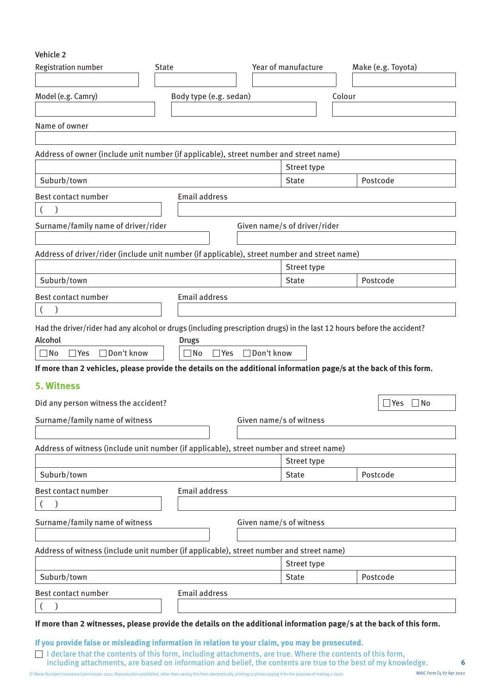Vehicle 2

| <b>Registration number</b>                                                                                             | <b>State</b>                      | Year of manufacture          | Make (e.g. Toyota)   |
|------------------------------------------------------------------------------------------------------------------------|-----------------------------------|------------------------------|----------------------|
| Model (e.g. Camry)                                                                                                     | Body type (e.g. sedan)            |                              | Colour               |
|                                                                                                                        |                                   |                              |                      |
| Name of owner                                                                                                          |                                   |                              |                      |
|                                                                                                                        |                                   |                              |                      |
| Address of owner (include unit number (if applicable), street number and street name)                                  |                                   |                              |                      |
|                                                                                                                        |                                   | Street type                  |                      |
| Suburb/town                                                                                                            |                                   | <b>State</b>                 | Postcode             |
| Best contact number                                                                                                    | <b>Email address</b>              |                              |                      |
| $\mathcal{E}$                                                                                                          |                                   |                              |                      |
| Surname/family name of driver/rider                                                                                    |                                   | Given name/s of driver/rider |                      |
|                                                                                                                        |                                   |                              |                      |
| Address of driver/rider (include unit number (if applicable), street number and street name)                           |                                   |                              |                      |
|                                                                                                                        |                                   | Street type                  |                      |
| Suburb/town                                                                                                            |                                   | <b>State</b>                 | Postcode             |
| Best contact number                                                                                                    | <b>Email address</b>              |                              |                      |
|                                                                                                                        |                                   |                              |                      |
| Had the driver/rider had any alcohol or drugs (including prescription drugs) in the last 12 hours before the accident? |                                   |                              |                      |
| Alcohol<br>$\Box$ Don't know<br>$\Box$ No<br>$\Box$ Yes                                                                | <b>Drugs</b><br>∃No<br>$\Box$ Yes | □ Don't know                 |                      |
| If more than 2 vehicles, please provide the details on the additional information page/s at the back of this form.     |                                   |                              |                      |
| <b>5. Witness</b>                                                                                                      |                                   |                              |                      |
| Did any person witness the accident?                                                                                   |                                   |                              | $\Box$ Yes $\Box$ No |
| Surname/family name of witness                                                                                         |                                   | Given name/s of witness      |                      |
|                                                                                                                        |                                   |                              |                      |
| Address of witness (include unit number (if applicable), street number and street name)                                |                                   |                              |                      |
|                                                                                                                        |                                   |                              |                      |
|                                                                                                                        |                                   | Street type                  |                      |
| Suburb/town                                                                                                            |                                   | <b>State</b>                 | Postcode             |
| Best contact number                                                                                                    | <b>Email address</b>              |                              |                      |
|                                                                                                                        |                                   |                              |                      |
| Surname/family name of witness                                                                                         |                                   | Given name/s of witness      |                      |
|                                                                                                                        |                                   |                              |                      |
|                                                                                                                        |                                   |                              |                      |
|                                                                                                                        |                                   | Street type                  |                      |
| Suburb/town                                                                                                            |                                   | <b>State</b>                 | Postcode             |
| Address of witness (include unit number (if applicable), street number and street name)<br>Best contact number         | <b>Email address</b>              |                              |                      |
|                                                                                                                        |                                   |                              |                      |
| If more than 2 witnesses, please provide the details on the additional information page/s at the back of this form.    |                                   |                              |                      |

including attachments, are based on information and belief, the contents are true to the best of my knowledge.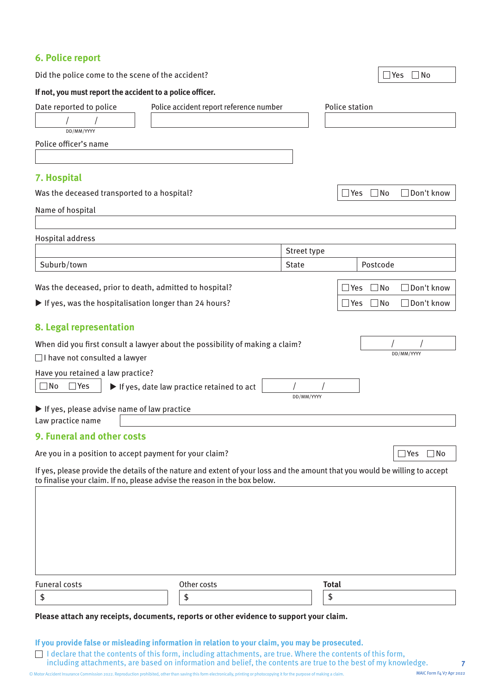| 6. Police report                                                                                                                                                                                                                                                                                                                                                                                                                                                                                                                                           |                                                                 |                    |                                                |
|------------------------------------------------------------------------------------------------------------------------------------------------------------------------------------------------------------------------------------------------------------------------------------------------------------------------------------------------------------------------------------------------------------------------------------------------------------------------------------------------------------------------------------------------------------|-----------------------------------------------------------------|--------------------|------------------------------------------------|
| Did the police come to the scene of the accident?                                                                                                                                                                                                                                                                                                                                                                                                                                                                                                          |                                                                 |                    | $\Box$ Yes<br>$\Box$ No                        |
| If not, you must report the accident to a police officer.                                                                                                                                                                                                                                                                                                                                                                                                                                                                                                  |                                                                 |                    |                                                |
| Date reported to police                                                                                                                                                                                                                                                                                                                                                                                                                                                                                                                                    | Police accident report reference number                         |                    | Police station                                 |
|                                                                                                                                                                                                                                                                                                                                                                                                                                                                                                                                                            |                                                                 |                    |                                                |
| DD/MM/YYYY<br>Police officer's name                                                                                                                                                                                                                                                                                                                                                                                                                                                                                                                        |                                                                 |                    |                                                |
|                                                                                                                                                                                                                                                                                                                                                                                                                                                                                                                                                            |                                                                 |                    |                                                |
| 7. Hospital                                                                                                                                                                                                                                                                                                                                                                                                                                                                                                                                                |                                                                 |                    |                                                |
| Was the deceased transported to a hospital?                                                                                                                                                                                                                                                                                                                                                                                                                                                                                                                |                                                                 |                    | $\Box$ Don't know<br>$\exists$ Yes<br>∣ No     |
| Name of hospital                                                                                                                                                                                                                                                                                                                                                                                                                                                                                                                                           |                                                                 |                    |                                                |
|                                                                                                                                                                                                                                                                                                                                                                                                                                                                                                                                                            |                                                                 |                    |                                                |
| Hospital address                                                                                                                                                                                                                                                                                                                                                                                                                                                                                                                                           |                                                                 |                    |                                                |
|                                                                                                                                                                                                                                                                                                                                                                                                                                                                                                                                                            |                                                                 | Street type        |                                                |
| Suburb/town                                                                                                                                                                                                                                                                                                                                                                                                                                                                                                                                                |                                                                 | <b>State</b>       | Postcode                                       |
| Was the deceased, prior to death, admitted to hospital?                                                                                                                                                                                                                                                                                                                                                                                                                                                                                                    |                                                                 |                    | Don't know<br>∃No<br>$\mathsf{Yes}$            |
| If yes, was the hospitalisation longer than 24 hours?                                                                                                                                                                                                                                                                                                                                                                                                                                                                                                      |                                                                 |                    | $\Box$ Don't know<br>$\exists$ Yes<br>∃No      |
| When did you first consult a lawyer about the possibility of making a claim?<br>□ I have not consulted a lawyer<br>Have you retained a law practice?<br>$\square$ No<br>$\Box$ Yes<br>If yes, please advise name of law practice<br>Law practice name<br>9. Funeral and other costs<br>Are you in a position to accept payment for your claim?<br>If yes, please provide the details of the nature and extent of your loss and the amount that you would be willing to accept<br>to finalise your claim. If no, please advise the reason in the box below. | $\blacktriangleright$ If yes, date law practice retained to act | DD/MM/YYYY         | DD/MM/YYYY<br>$\mathsf{\neg Yes}$<br>$\Box$ No |
| <b>Funeral costs</b><br>\$<br>Please attach any receipts, documents, reports or other evidence to support your claim.                                                                                                                                                                                                                                                                                                                                                                                                                                      | Other costs<br>\$                                               | <b>Total</b><br>\$ |                                                |

**If you provide false or misleading information in relation to your claim, you may be prosecuted.** 

I declare that the contents of this form, including attachments, are true. Where the contents of this form, including attachments, are based on information and belief, the contents are true to the best of my knowledge.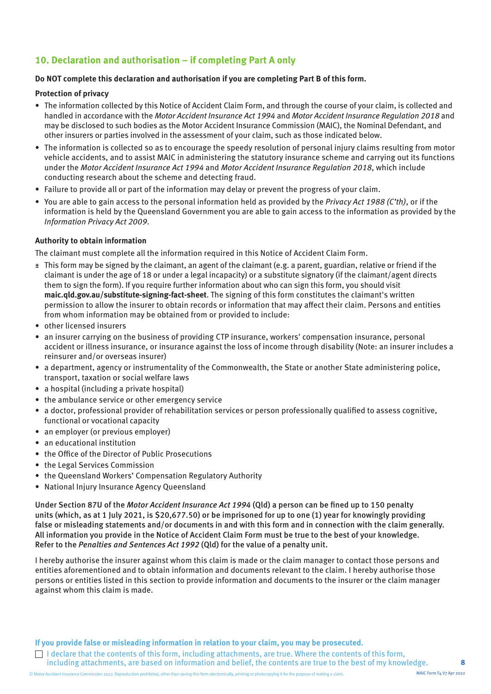#### **10. Declaration and authorisation – if completing Part A only**

#### **Do NOT complete this declaration and authorisation if you are completing Part B of this form.**

#### **Protection of privacy**

- The information collected by this Notice of Accident Claim Form, and through the course of your claim, is collected and handled in accordance with the Motor Accident Insurance Act 1994 and Motor Accident Insurance Regulation 2018 and may be disclosed to such bodies as the Motor Accident Insurance Commission (MAIC), the Nominal Defendant, and other insurers or parties involved in the assessment of your claim, such as those indicated below.
- The information is collected so as to encourage the speedy resolution of personal injury claims resulting from motor vehicle accidents, and to assist MAIC in administering the statutory insurance scheme and carrying out its functions under the Motor Accident Insurance Act 1994 and Motor Accident Insurance Regulation 2018, which include conducting research about the scheme and detecting fraud.
- Failure to provide all or part of the information may delay or prevent the progress of your claim.
- You are able to gain access to the personal information held as provided by the Privacy Act 1988 (C'th), or if the information is held by the Queensland Government you are able to gain access to the information as provided by the Information Privacy Act 2009.

#### **Authority to obtain information**

The claimant must complete all the information required in this Notice of Accident Claim Form.

- ± This form may be signed by the claimant, an agent of the claimant (e.g. a parent, guardian, relative or friend if the claimant is under the age of 18 or under a legal incapacity) or a substitute signatory (if the claimant/agent directs them to sign the form). If you require further information about who can sign this form, you should visit **[maic.qld.gov.au/substitute-signing-fact-sheet](https://maic.qld.gov.au/wp-content/uploads/2022/04/maic-forms-fact-sheet-substitute-signatory.pdf)**. The signing of this form constitutes the claimant's written permission to allow the insurer to obtain records or information that may affect their claim. Persons and entities from whom information may be obtained from or provided to include:
- other licensed insurers
- an insurer carrying on the business of providing CTP insurance, workers' compensation insurance, personal accident or illness insurance, or insurance against the loss of income through disability (Note: an insurer includes a reinsurer and/or overseas insurer)
- a department, agency or instrumentality of the Commonwealth, the State or another State administering police, transport, taxation or social welfare laws
- a hospital (including a private hospital)
- the ambulance service or other emergency service
- a doctor, professional provider of rehabilitation services or person professionally qualified to assess cognitive, functional or vocational capacity
- an employer (or previous employer)
- an educational institution
- the Office of the Director of Public Prosecutions
- the Legal Services Commission
- the Queensland Workers' Compensation Regulatory Authority
- National Injury Insurance Agency Queensland

Under Section 87U of the Motor Accident Insurance Act 1994 (Qld) a person can be fined up to 150 penalty units (which, as at 1 July 2021, is \$20,677.50) or be imprisoned for up to one (1) year for knowingly providing false or misleading statements and/or documents in and with this form and in connection with the claim generally. All information you provide in the Notice of Accident Claim Form must be true to the best of your knowledge. Refer to the Penalties and Sentences Act 1992 (Qld) for the value of a penalty unit.

I hereby authorise the insurer against whom this claim is made or the claim manager to contact those persons and entities aforementioned and to obtain information and documents relevant to the claim. I hereby authorise those persons or entities listed in this section to provide information and documents to the insurer or the claim manager against whom this claim is made.

**If you provide false or misleading information in relation to your claim, you may be prosecuted.** 

I declare that the contents of this form, including attachments, are true. Where the contents of this form, including attachments, are based on information and belief, the contents are true to the best of my knowledge.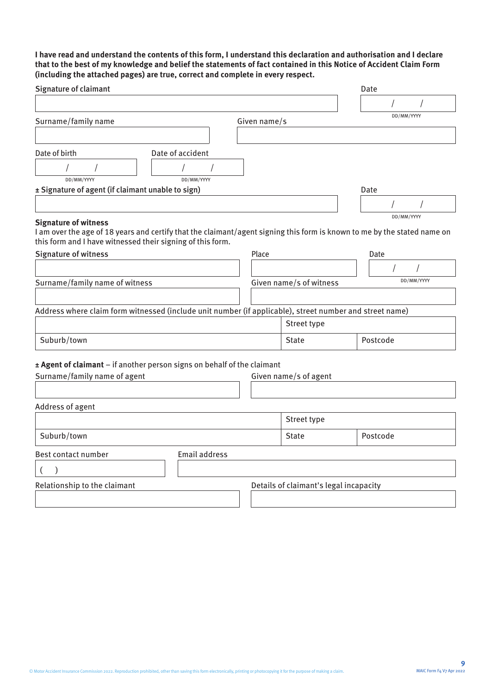**I have read and understand the contents of this form, I understand this declaration and authorisation and I declare that to the best of my knowledge and belief the statements of fact contained in this Notice of Accident Claim Form (including the attached pages) are true, correct and complete in every respect.**

| <b>Signature of claimant</b>                                                                                                                                                           |                      |              |                                        | Date     |            |  |
|----------------------------------------------------------------------------------------------------------------------------------------------------------------------------------------|----------------------|--------------|----------------------------------------|----------|------------|--|
|                                                                                                                                                                                        |                      |              |                                        |          |            |  |
| Surname/family name                                                                                                                                                                    |                      | Given name/s |                                        |          | DD/MM/YYYY |  |
|                                                                                                                                                                                        |                      |              |                                        |          |            |  |
| Date of birth<br>Date of accident                                                                                                                                                      |                      |              |                                        |          |            |  |
|                                                                                                                                                                                        |                      |              |                                        |          |            |  |
| DD/MM/YYYY                                                                                                                                                                             | DD/MM/YYYY           |              |                                        |          |            |  |
| ± Signature of agent (if claimant unable to sign)                                                                                                                                      |                      |              |                                        | Date     |            |  |
|                                                                                                                                                                                        |                      |              |                                        |          |            |  |
| <b>Signature of witness</b>                                                                                                                                                            |                      |              |                                        |          | DD/MM/YYYY |  |
| I am over the age of 18 years and certify that the claimant/agent signing this form is known to me by the stated name on<br>this form and I have witnessed their signing of this form. |                      |              |                                        |          |            |  |
| Signature of witness                                                                                                                                                                   |                      | Place        |                                        | Date     |            |  |
|                                                                                                                                                                                        |                      |              |                                        |          |            |  |
| Surname/family name of witness                                                                                                                                                         |                      |              | Given name/s of witness                |          | DD/MM/YYYY |  |
|                                                                                                                                                                                        |                      |              |                                        |          |            |  |
| Address where claim form witnessed (include unit number (if applicable), street number and street name)                                                                                |                      |              |                                        |          |            |  |
|                                                                                                                                                                                        |                      |              | Street type                            |          |            |  |
| Suburb/town                                                                                                                                                                            |                      |              | <b>State</b>                           | Postcode |            |  |
| ± Agent of claimant - if another person signs on behalf of the claimant                                                                                                                |                      |              |                                        |          |            |  |
| Surname/family name of agent                                                                                                                                                           |                      |              | Given name/s of agent                  |          |            |  |
|                                                                                                                                                                                        |                      |              |                                        |          |            |  |
| Address of agent                                                                                                                                                                       |                      |              |                                        |          |            |  |
|                                                                                                                                                                                        |                      |              | Street type                            |          |            |  |
| Suburb/town                                                                                                                                                                            |                      |              | <b>State</b>                           | Postcode |            |  |
| Best contact number                                                                                                                                                                    | <b>Email address</b> |              |                                        |          |            |  |
|                                                                                                                                                                                        |                      |              |                                        |          |            |  |
| Relationship to the claimant                                                                                                                                                           |                      |              | Details of claimant's legal incapacity |          |            |  |
|                                                                                                                                                                                        |                      |              |                                        |          |            |  |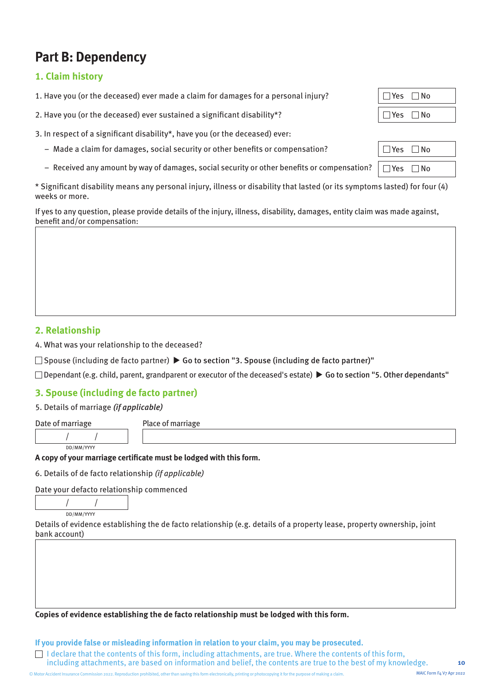### **Part B: Dependency**

#### **1. Claim history**

1. Have you (or the deceased) ever made a claim for damages for a personal injury?

2. Have you (or the deceased) ever sustained a significant disability\*?

3. In respect of a significant disability\*, have you (or the deceased) ever:

- $-$  Made a claim for damages, social security or other benefits or compensation?
- Received any amount by way of damages, social security or other benefits or compensation?  $\Box$  Yes  $\Box$  No

\* Significant disability means any personal injury, illness or disability that lasted (or its symptoms lasted) for four (4) weeks or more.

If yes to any question, please provide details of the injury, illness, disability, damages, entity claim was made against, benefit and/or compensation:

#### **2. Relationship**

4. What was your relationship to the deceased?

 $\Box$  Spouse (including de facto partner)  $\blacktriangleright$  Go to section "3. Spouse (including de facto partner)"

 $\Box$  Dependant (e.g. child, parent, grandparent or executor of the deceased's estate)  $\blacktriangleright$  Go to section "5. Other dependants"

#### **3. Spouse (including de facto partner)**

5. Details of marriage (if applicable)

Date of marriage Place of marriage

#### **A copy of your marriage certificate must be lodged with this form.**

6. Details of de facto relationship (if applicable)

Date your defacto relationship commenced

/ / DD/MM/YYYY

/ /

DD/MM/YYYY

Details of evidence establishing the de facto relationship (e.g. details of a property lease, property ownership, joint bank account)

**Copies of evidence establishing the de facto relationship must be lodged with this form.**

**If you provide false or misleading information in relation to your claim, you may be prosecuted.** 

I declare that the contents of this form, including attachments, are true. Where the contents of this form, including attachments, are based on information and belief, the contents are true to the best of my knowledge.

| TYES I INO |  |
|------------|--|
| ∣ Yes ∣ No |  |
|            |  |

| ∣Yes ∣No                                     |  |
|----------------------------------------------|--|
|                                              |  |
| $\Box$ V <sub>22</sub> $\Box$ N <sub>2</sub> |  |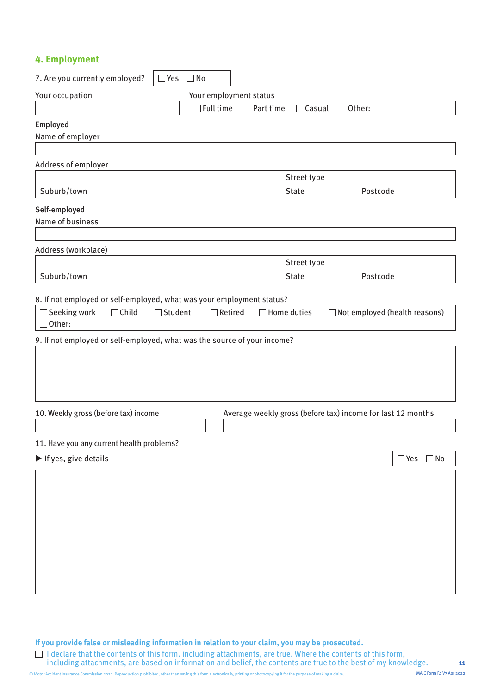#### **4. Employment**

| 7. Are you currently employed?<br>□Yes □No                                                |                        |                  |                             |               |                                                             |                      |
|-------------------------------------------------------------------------------------------|------------------------|------------------|-----------------------------|---------------|-------------------------------------------------------------|----------------------|
| Your occupation                                                                           | Your employment status |                  |                             |               |                                                             |                      |
|                                                                                           | $\exists$ Full time    | $\Box$ Part time | $\Box$ Casual               | $\Box$ Other: |                                                             |                      |
| Employed<br>Name of employer                                                              |                        |                  |                             |               |                                                             |                      |
| Address of employer                                                                       |                        |                  | Street type                 |               |                                                             |                      |
| Suburb/town                                                                               |                        |                  | <b>State</b>                |               | Postcode                                                    |                      |
| Self-employed<br>Name of business                                                         |                        |                  |                             |               |                                                             |                      |
| Address (workplace)                                                                       |                        |                  |                             |               |                                                             |                      |
| Suburb/town                                                                               |                        |                  | Street type<br><b>State</b> |               | Postcode                                                    |                      |
| $\Box$ Other:<br>9. If not employed or self-employed, what was the source of your income? |                        |                  |                             |               |                                                             |                      |
| 10. Weekly gross (before tax) income                                                      |                        |                  |                             |               | Average weekly gross (before tax) income for last 12 months |                      |
| 11. Have you any current health problems?                                                 |                        |                  |                             |               |                                                             |                      |
| If yes, give details                                                                      |                        |                  |                             |               |                                                             | $\Box$ Yes $\Box$ No |
|                                                                                           |                        |                  |                             |               |                                                             |                      |

**If you provide false or misleading information in relation to your claim, you may be prosecuted.** 

I declare that the contents of this form, including attachments, are true. Where the contents of this form, including attachments, are based on information and belief, the contents are true to the best of my knowledge.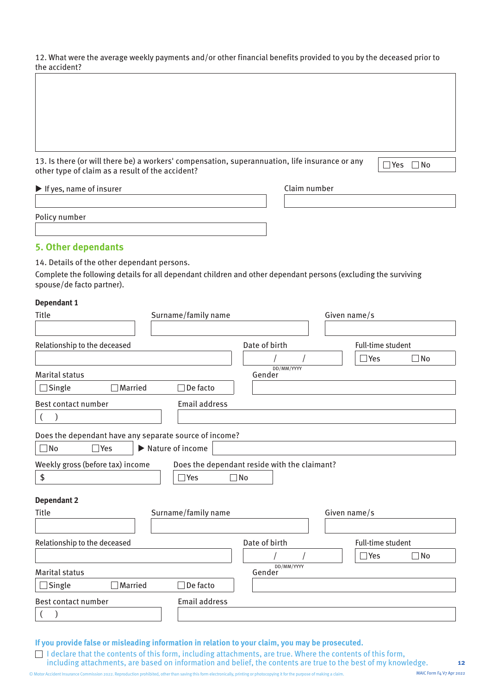12. What were the average weekly payments and/or other financial benefits provided to you by the deceased prior to the accident?

13. Is there (or will there be) a workers' compensation, superannuation, life insurance or any 13. Is there (or will there be) a workers' compensation, superannuation, life insurance or any  $\Gamma$ 

|  | N٥ |
|--|----|
|  |    |

| $\blacktriangleright$ If yes, name of insurer | Claim number |
|-----------------------------------------------|--------------|
|                                               |              |
| Policy number                                 |              |
|                                               |              |

#### **5. Other dependants**

14. Details of the other dependant persons.

Complete the following details for all dependant children and other dependant persons (excluding the surviving spouse/de facto partner).

#### **Dependant 1**

| <b>Title</b>                                           | Surname/family name  |                                              | Given name/s                  |
|--------------------------------------------------------|----------------------|----------------------------------------------|-------------------------------|
|                                                        |                      |                                              |                               |
| Relationship to the deceased                           |                      | Date of birth                                | Full-time student             |
|                                                        |                      |                                              | $\Box$ Yes<br>$\square$ No    |
| <b>Marital status</b>                                  |                      | DD/MM/YYYY<br>Gender                         |                               |
| Single<br>Married                                      | De facto             |                                              |                               |
| Best contact number                                    | <b>Email address</b> |                                              |                               |
| $\overline{a}$                                         |                      |                                              |                               |
| Does the dependant have any separate source of income? |                      |                                              |                               |
| $\Box$ No<br>$\Box$ Yes                                | Nature of income     |                                              |                               |
| Weekly gross (before tax) income                       |                      | Does the dependant reside with the claimant? |                               |
| \$                                                     | Yes                  | $\Box$ No                                    |                               |
| <b>Dependant 2</b>                                     |                      |                                              |                               |
| <b>Title</b>                                           | Surname/family name  |                                              | Given name/s                  |
|                                                        |                      |                                              |                               |
| Relationship to the deceased                           |                      | Date of birth                                | Full-time student             |
|                                                        |                      |                                              | $\square$ No<br>$\exists$ Yes |
| <b>Marital status</b>                                  |                      | DD/MM/YYYY<br>Gender                         |                               |
| Married<br>Single                                      | De facto             |                                              |                               |
| Best contact number                                    | <b>Email address</b> |                                              |                               |
|                                                        |                      |                                              |                               |

**If you provide false or misleading information in relation to your claim, you may be prosecuted.** 

I declare that the contents of this form, including attachments, are true. Where the contents of this form, including attachments, are based on information and belief, the contents are true to the best of my knowledge.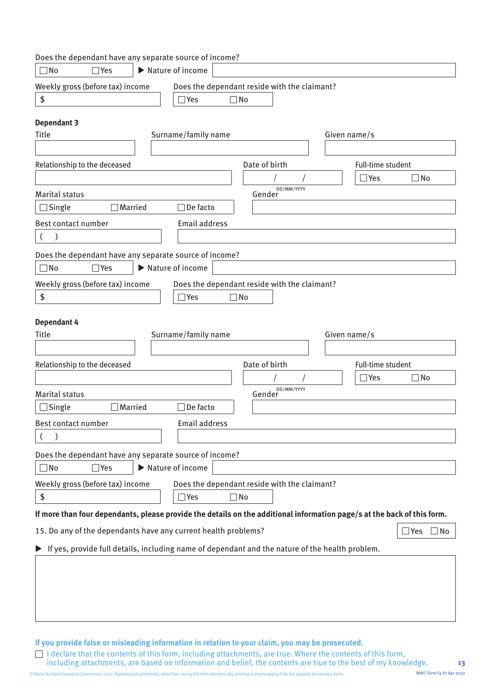| Does the dependant have any separate source of income?                                                                  |                      |                                                           |               |            |              |                                           |                            |
|-------------------------------------------------------------------------------------------------------------------------|----------------------|-----------------------------------------------------------|---------------|------------|--------------|-------------------------------------------|----------------------------|
| $\Box$ Yes<br>$\Box$ No                                                                                                 | Nature of income     |                                                           |               |            |              |                                           |                            |
| Weekly gross (before tax) income                                                                                        |                      | Does the dependant reside with the claimant?              |               |            |              |                                           |                            |
| \$                                                                                                                      | $\Box$ Yes           | $\Box$ No                                                 |               |            |              |                                           |                            |
|                                                                                                                         |                      |                                                           |               |            |              |                                           |                            |
| <b>Dependant 3</b><br><b>Title</b>                                                                                      | Surname/family name  |                                                           |               |            | Given name/s |                                           |                            |
|                                                                                                                         |                      |                                                           |               |            |              |                                           |                            |
|                                                                                                                         |                      |                                                           |               |            |              |                                           |                            |
| Relationship to the deceased                                                                                            |                      |                                                           | Date of birth |            |              | <b>Full-time student</b><br>$\exists$ Yes | $\Box$ No                  |
|                                                                                                                         |                      |                                                           |               | DD/MM/YYYY |              |                                           |                            |
| <b>Marital status</b>                                                                                                   |                      |                                                           | Gender        |            |              |                                           |                            |
| Single<br>Married                                                                                                       | De facto             |                                                           |               |            |              |                                           |                            |
| Best contact number                                                                                                     | <b>Email address</b> |                                                           |               |            |              |                                           |                            |
| $\mathcal{E}$                                                                                                           |                      |                                                           |               |            |              |                                           |                            |
| Does the dependant have any separate source of income?                                                                  |                      |                                                           |               |            |              |                                           |                            |
| $\Box$ Yes<br>$\Box$ No                                                                                                 | Nature of income     |                                                           |               |            |              |                                           |                            |
| Weekly gross (before tax) income                                                                                        |                      | Does the dependant reside with the claimant?              |               |            |              |                                           |                            |
| $\pmb{\$}$                                                                                                              | $\exists$ Yes        | $\Box$ No                                                 |               |            |              |                                           |                            |
| <b>Dependant 4</b><br><b>Title</b>                                                                                      | Surname/family name  |                                                           |               |            | Given name/s |                                           |                            |
| Relationship to the deceased                                                                                            |                      |                                                           | Date of birth |            |              | Full-time student                         |                            |
|                                                                                                                         |                      |                                                           |               |            |              | $\Box$ Yes                                | $\square$ No               |
| <b>Marital status</b>                                                                                                   |                      |                                                           | Gender        | DD/MM/YYYY |              |                                           |                            |
| Married<br>Single                                                                                                       | De facto             |                                                           |               |            |              |                                           |                            |
| Best contact number                                                                                                     | Email address        |                                                           |               |            |              |                                           |                            |
|                                                                                                                         |                      |                                                           |               |            |              |                                           |                            |
| Does the dependant have any separate source of income?                                                                  |                      |                                                           |               |            |              |                                           |                            |
| $\Box$ No<br>$\Box$ Yes                                                                                                 | Nature of income     |                                                           |               |            |              |                                           |                            |
|                                                                                                                         |                      |                                                           |               |            |              |                                           |                            |
| Weekly gross (before tax) income<br>\$                                                                                  | $\Box$ Yes           | Does the dependant reside with the claimant?<br>$\Box$ No |               |            |              |                                           |                            |
|                                                                                                                         |                      |                                                           |               |            |              |                                           |                            |
| If more than four dependants, please provide the details on the additional information page/s at the back of this form. |                      |                                                           |               |            |              |                                           |                            |
| 15. Do any of the dependants have any current health problems?                                                          |                      |                                                           |               |            |              |                                           | $\square$ Yes<br>$\Box$ No |
| If yes, provide full details, including name of dependant and the nature of the health problem.                         |                      |                                                           |               |            |              |                                           |                            |
|                                                                                                                         |                      |                                                           |               |            |              |                                           |                            |
|                                                                                                                         |                      |                                                           |               |            |              |                                           |                            |
|                                                                                                                         |                      |                                                           |               |            |              |                                           |                            |
|                                                                                                                         |                      |                                                           |               |            |              |                                           |                            |
|                                                                                                                         |                      |                                                           |               |            |              |                                           |                            |

**If you provide false or misleading information in relation to your claim, you may be prosecuted.** 

I declare that the contents of this form, including attachments, are true. Where the contents of this form, including attachments, are based on information and belief, the contents are true to the best of my knowledge.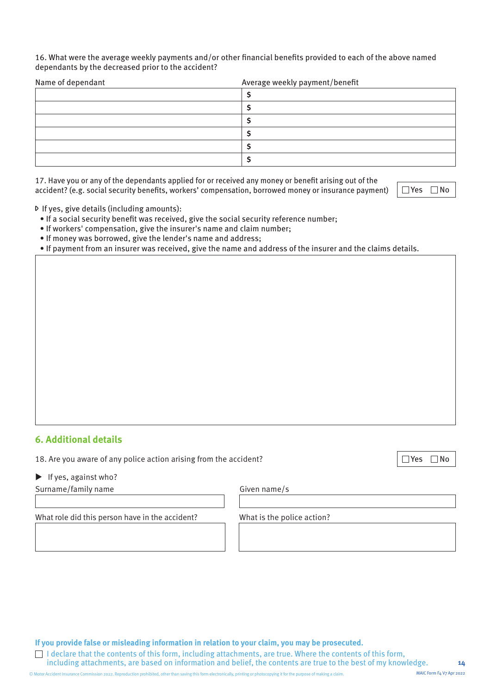#### 16. What were the average weekly payments and/or other financial benefits provided to each of the above named dependants by the decreased prior to the accident?

| Name of dependant | Average weekly payment/benefit |
|-------------------|--------------------------------|
|                   |                                |
|                   |                                |
|                   |                                |
|                   |                                |
|                   |                                |
|                   |                                |

17. Have you or any of the dependants applied for or received any money or benefit arising out of the accident? (e.g. social security benefits, workers' compensation, borrowed money or insurance payment)  $\Box$  Yes  $\Box$  No

If yes, give details (including amounts):

- If a social security benefit was received, give the social security reference number;
- If workers' compensation, give the insurer's name and claim number;
- If money was borrowed, give the lender's name and address;
- If payment from an insurer was received, give the name and address of the insurer and the claims details.

#### **6. Additional details**

- 18. Are you aware of any police action arising from the accident?  $\Box$  Yes  $\Box$  Yes  $\Box$  No
- $\blacktriangleright$  If yes, against who?

Surname/family name Given name/s

What role did this person have in the accident? What is the police action?

**If you provide false or misleading information in relation to your claim, you may be prosecuted.** 

I declare that the contents of this form, including attachments, are true. Where the contents of this form, including attachments, are based on information and belief, the contents are true to the best of my knowledge.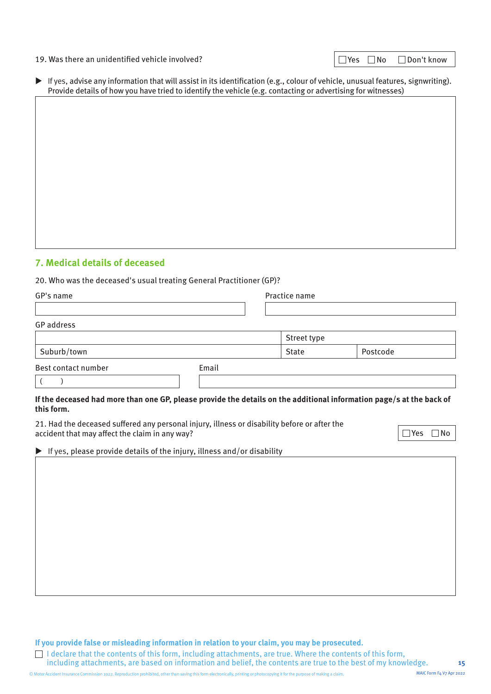#### 19. Was there an unidentified vehicle involved?  $\Box$  Yes  $\Box$  Yes  $\Box$  No  $\Box$  Don't know

| $\exists$ Yes | $\Box$ No | $\Box$ Don't knov |  |
|---------------|-----------|-------------------|--|
|               |           |                   |  |

| If yes, advise any information that will assist in its identification (e.g., colour of vehicle, unusual features, signwriting). |
|---------------------------------------------------------------------------------------------------------------------------------|
| Provide details of how you have tried to identify the vehicle (e.g. contacting or advertising for witnesses)                    |

#### **7. Medical details of deceased**

20. Who was the deceased's usual treating General Practitioner (GP)?

| GP's name           |       | Practice name |                                                                                                                      |
|---------------------|-------|---------------|----------------------------------------------------------------------------------------------------------------------|
|                     |       |               |                                                                                                                      |
| GP address          |       |               |                                                                                                                      |
|                     |       | Street type   |                                                                                                                      |
| Suburb/town         |       | <b>State</b>  | Postcode                                                                                                             |
| Best contact number | Email |               |                                                                                                                      |
|                     |       |               |                                                                                                                      |
|                     |       |               | If the deceased had more than one CD please provide the details on the additional information page (s at the bask of |

#### **If the deceased had more than one GP, please provide the details on the additional information page/s at the back of this form.**

21. Had the deceased suffered any personal injury, illness or disability before or after the  $\Box$  accident that may affect the claim in any way?

 $\blacktriangleright$  If yes, please provide details of the injury, illness and/or disability

**If you provide false or misleading information in relation to your claim, you may be prosecuted.** 

 $\Box$  I declare that the contents of this form, including attachments, are true. Where the contents of this form, including attachments, are based on information and belief, the contents are true to the best of my knowledge.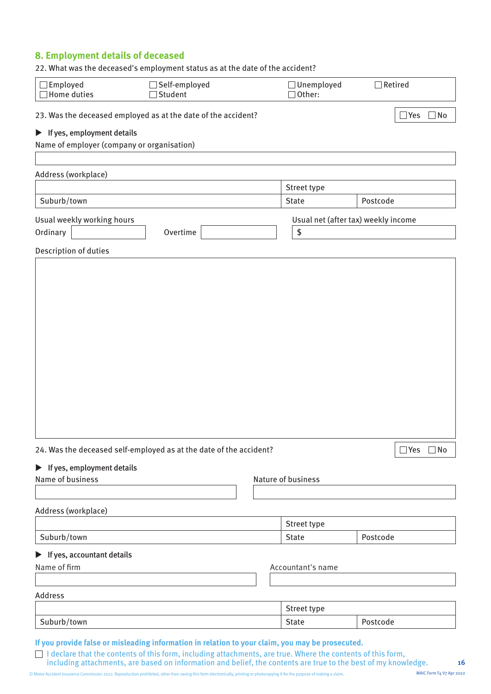#### **8. Employment details of deceased**

| 22. What was the deceased's employment status as at the date of the accident?                    |                          |                                     |                      |
|--------------------------------------------------------------------------------------------------|--------------------------|-------------------------------------|----------------------|
| $\Box$ Employed<br>$\Box$ Home duties                                                            | Self-employed<br>Student | $\Box$ Unemployed<br>Other:         | $\Box$ Retired       |
| 23. Was the deceased employed as at the date of the accident?                                    |                          |                                     | $\Box$ Yes $\Box$ No |
| $\blacktriangleright$ If yes, employment details                                                 |                          |                                     |                      |
| Name of employer (company or organisation)                                                       |                          |                                     |                      |
|                                                                                                  |                          |                                     |                      |
| Address (workplace)                                                                              |                          |                                     |                      |
|                                                                                                  |                          | Street type                         |                      |
| Suburb/town                                                                                      |                          | State                               | Postcode             |
| Usual weekly working hours                                                                       |                          | Usual net (after tax) weekly income |                      |
| Ordinary                                                                                         | Overtime                 | \$                                  |                      |
| Description of duties                                                                            |                          |                                     |                      |
|                                                                                                  |                          |                                     |                      |
|                                                                                                  |                          |                                     |                      |
|                                                                                                  |                          |                                     |                      |
|                                                                                                  |                          |                                     |                      |
|                                                                                                  |                          |                                     |                      |
|                                                                                                  |                          |                                     |                      |
|                                                                                                  |                          |                                     |                      |
|                                                                                                  |                          |                                     |                      |
|                                                                                                  |                          |                                     |                      |
|                                                                                                  |                          |                                     |                      |
|                                                                                                  |                          |                                     |                      |
|                                                                                                  |                          |                                     |                      |
|                                                                                                  |                          |                                     |                      |
|                                                                                                  |                          |                                     |                      |
| 24. Was the deceased self-employed as at the date of the accident?                               |                          |                                     | $\Box$ Yes $\Box$ No |
| $\blacktriangleright$ If yes, employment details                                                 |                          |                                     |                      |
| Name of business                                                                                 |                          | Nature of business                  |                      |
|                                                                                                  |                          |                                     |                      |
| Address (workplace)                                                                              |                          |                                     |                      |
|                                                                                                  |                          | Street type                         |                      |
| Suburb/town                                                                                      |                          | <b>State</b>                        | Postcode             |
|                                                                                                  |                          |                                     |                      |
| $\blacktriangleright$ If yes, accountant details                                                 |                          |                                     |                      |
| Name of firm                                                                                     |                          | Accountant's name                   |                      |
|                                                                                                  |                          |                                     |                      |
| Address                                                                                          |                          |                                     |                      |
|                                                                                                  |                          | Street type                         |                      |
| Suburb/town                                                                                      |                          | State                               | Postcode             |
| If you provide false or misleading information in relation to your claim, you may be prosecuted. |                          |                                     |                      |

including attachments, are based on information and belief, the contents are true to the best of my knowledge.

I declare that the contents of this form, including attachments, are true. Where the contents of this form,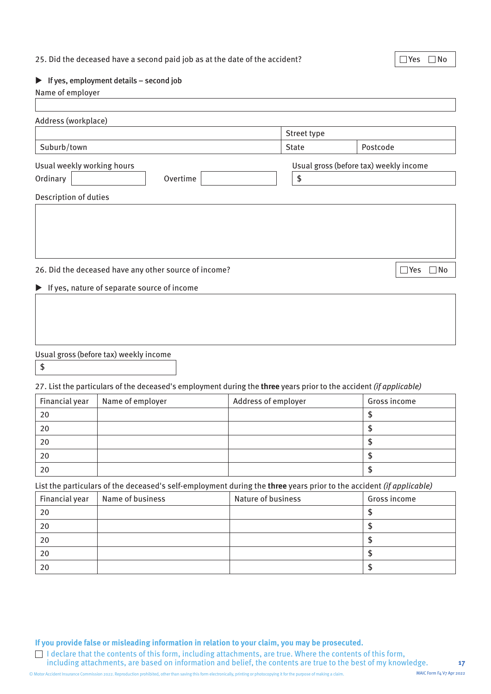#### 25. Did the deceased have a second paid job as at the date of the accident?  $\Box$  Yes  $\Box$  No

#### $\blacktriangleright$  If yes, employment details – second job

#### Name of employer

|                                                                      | Street type  |                                        |
|----------------------------------------------------------------------|--------------|----------------------------------------|
| Suburb/town                                                          | <b>State</b> | Postcode                               |
| Usual weekly working hours                                           |              | Usual gross (before tax) weekly income |
| Ordinary<br>Overtime                                                 | \$           |                                        |
| Description of duties                                                |              |                                        |
| 26. Did the deceased have any other source of income?                |              | $\sqsupset$ Yes<br>$\Box$ No           |
| If yes, nature of separate source of income<br>$\blacktriangleright$ |              |                                        |

#### Usual gross (before tax) weekly income

\$

#### 27. List the particulars of the deceased's employment during the **three** years prior to the accident (if applicable)

| Financial year | Name of employer | Address of employer | Gross income |
|----------------|------------------|---------------------|--------------|
| 20             |                  |                     |              |
| 20             |                  |                     |              |
| 20             |                  |                     |              |
| 20             |                  |                     |              |
| 20             |                  |                     |              |

#### List the particulars of the deceased's self-employment during the **three** years prior to the accident (if applicable)

| Financial year | Name of business | Nature of business | Gross income |
|----------------|------------------|--------------------|--------------|
| 20             |                  |                    |              |
| 20             |                  |                    |              |
| 20             |                  |                    |              |
| 20             |                  |                    |              |
| 20             |                  |                    |              |

**If you provide false or misleading information in relation to your claim, you may be prosecuted.** 

I declare that the contents of this form, including attachments, are true. Where the contents of this form, including attachments, are based on information and belief, the contents are true to the best of my knowledge.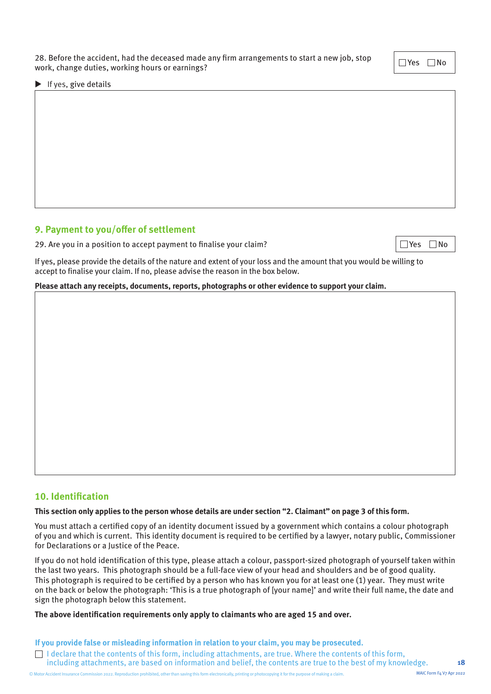28. Before the accident, had the deceased made any firm arrangements to start a new job, stop zo. Before the accident, had the deceased made any firm arrangements to start a new job, stop  $\Box$  Yes  $\Box$  No work, change duties, working hours or earnings?

 $\blacktriangleright$  If yes, give details

### **9. Payment to you/offer of settlement**

29. Are you in a position to accept payment to finalise your claim?  $\Box$  Yes  $\Box$  No

If yes, please provide the details of the nature and extent of your loss and the amount that you would be willing to accept to finalise your claim. If no, please advise the reason in the box below.

**Please attach any receipts, documents, reports, photographs or other evidence to support your claim.** 

#### **10. Identification**

#### **This section only applies to the person whose details are under section "2. Claimant" on page 3 of this form.**

You must attach a certified copy of an identity document issued by a government which contains a colour photograph of you and which is current. This identity document is required to be certified by a lawyer, notary public, Commissioner for Declarations or a Justice of the Peace.

If you do not hold identification of this type, please attach a colour, passport-sized photograph of yourself taken within the last two years. This photograph should be a full-face view of your head and shoulders and be of good quality. This photograph is required to be certified by a person who has known you for at least one (1) year. They must write on the back or below the photograph: 'This is a true photograph of [your name]' and write their full name, the date and sign the photograph below this statement.

#### **The above identification requirements only apply to claimants who are aged 15 and over.**

**If you provide false or misleading information in relation to your claim, you may be prosecuted.** 

I declare that the contents of this form, including attachments, are true. Where the contents of this form, including attachments, are based on information and belief, the contents are true to the best of my knowledge.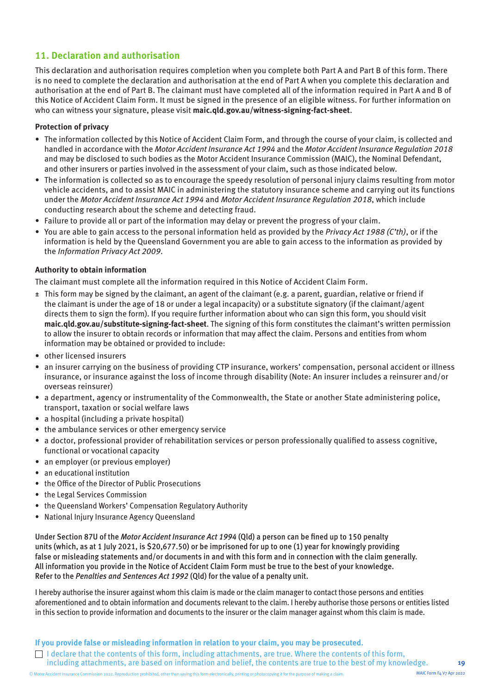#### **11. Declaration and authorisation**

This declaration and authorisation requires completion when you complete both Part A and Part B of this form. There is no need to complete the declaration and authorisation at the end of Part A when you complete this declaration and authorisation at the end of Part B. The claimant must have completed all of the information required in Part A and B of this Notice of Accident Claim Form. It must be signed in the presence of an eligible witness. For further information on who can witness your signature, please visit **[maic.qld.gov.au/witness-signing-fact-sheet](https://maic.qld.gov.au/wp-content/uploads/2022/04/maic-forms-fact-sheet-physical-signing-and-witnessing.pdf)**.

#### **Protection of privacy**

- The information collected by this Notice of Accident Claim Form, and through the course of your claim, is collected and handled in accordance with the Motor Accident Insurance Act 1994 and the Motor Accident Insurance Regulation 2018 and may be disclosed to such bodies as the Motor Accident Insurance Commission (MAIC), the Nominal Defendant, and other insurers or parties involved in the assessment of your claim, such as those indicated below.
- The information is collected so as to encourage the speedy resolution of personal injury claims resulting from motor vehicle accidents, and to assist MAIC in administering the statutory insurance scheme and carrying out its functions under the Motor Accident Insurance Act 1994 and Motor Accident Insurance Regulation 2018, which include conducting research about the scheme and detecting fraud.
- Failure to provide all or part of the information may delay or prevent the progress of your claim.
- You are able to gain access to the personal information held as provided by the Privacy Act 1988 (C'th), or if the information is held by the Queensland Government you are able to gain access to the information as provided by the Information Privacy Act 2009.

#### **Authority to obtain information**

The claimant must complete all the information required in this Notice of Accident Claim Form.

- ± This form may be signed by the claimant, an agent of the claimant (e.g. a parent, guardian, relative or friend if the claimant is under the age of 18 or under a legal incapacity) or a substitute signatory (if the claimant/agent directs them to sign the form). If you require further information about who can sign this form, you should visit **[maic.qld.gov.au/substitute-signing-fact-sheet](https://maic.qld.gov.au/wp-content/uploads/2022/04/maic-forms-fact-sheet-substitute-signatory.pdf)**. The signing of this form constitutes the claimant's written permission to allow the insurer to obtain records or information that may affect the claim. Persons and entities from whom information may be obtained or provided to include:
- other licensed insurers
- an insurer carrying on the business of providing CTP insurance, workers' compensation, personal accident or illness insurance, or insurance against the loss of income through disability (Note: An insurer includes a reinsurer and/or overseas reinsurer)
- a department, agency or instrumentality of the Commonwealth, the State or another State administering police, transport, taxation or social welfare laws
- a hospital (including a private hospital)
- the ambulance services or other emergency service
- a doctor, professional provider of rehabilitation services or person professionally qualified to assess cognitive, functional or vocational capacity
- an employer (or previous employer)
- an educational institution
- the Office of the Director of Public Prosecutions
- the Legal Services Commission
- the Queensland Workers' Compensation Regulatory Authority
- National Injury Insurance Agency Queensland

Under Section 87U of the Motor Accident Insurance Act 1994 (Qld) a person can be fined up to 150 penalty units (which, as at 1 July 2021, is \$20,677.50) or be imprisoned for up to one (1) year for knowingly providing false or misleading statements and/or documents in and with this form and in connection with the claim generally. All information you provide in the Notice of Accident Claim Form must be true to the best of your knowledge. Refer to the Penalties and Sentences Act 1992 (Qld) for the value of a penalty unit.

I hereby authorise the insurer against whom this claim is made or the claim manager to contact those persons and entities aforementioned and to obtain information and documents relevant to the claim. I hereby authorise those persons or entities listed in this section to provide information and documents to the insurer or the claim manager against whom this claim is made.

**If you provide false or misleading information in relation to your claim, you may be prosecuted.** 

I declare that the contents of this form, including attachments, are true. Where the contents of this form, including attachments, are based on information and belief, the contents are true to the best of my knowledge.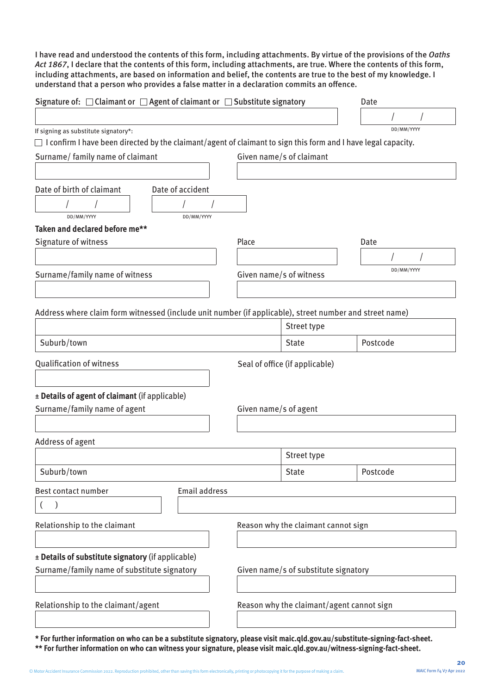I have read and understood the contents of this form, including attachments. By virtue of the provisions of the Oaths Act 1867, I declare that the contents of this form, including attachments, are true. Where the contents of this form, including attachments, are based on information and belief, the contents are true to the best of my knowledge. I understand that a person who provides a false matter in a declaration commits an offence.

| Signature of: $\Box$ Claimant or $\Box$ Agent of claimant or $\Box$ Substitute signatory                             |                         |                                           | Date       |
|----------------------------------------------------------------------------------------------------------------------|-------------------------|-------------------------------------------|------------|
|                                                                                                                      |                         |                                           |            |
| If signing as substitute signatory*:                                                                                 |                         |                                           | DD/MM/YYYY |
| $\Box$ I confirm I have been directed by the claimant/agent of claimant to sign this form and I have legal capacity. |                         |                                           |            |
| Surname/ family name of claimant                                                                                     |                         | Given name/s of claimant                  |            |
|                                                                                                                      |                         |                                           |            |
|                                                                                                                      |                         |                                           |            |
| Date of birth of claimant<br>Date of accident                                                                        |                         |                                           |            |
|                                                                                                                      |                         |                                           |            |
| DD/MM/YYYY<br>DD/MM/YYYY                                                                                             |                         |                                           |            |
| Taken and declared before me**                                                                                       |                         |                                           |            |
| Signature of witness                                                                                                 | Place                   |                                           | Date       |
|                                                                                                                      |                         |                                           |            |
| Surname/family name of witness                                                                                       | Given name/s of witness |                                           | DD/MM/YYYY |
|                                                                                                                      |                         |                                           |            |
|                                                                                                                      |                         |                                           |            |
| Address where claim form witnessed (include unit number (if applicable), street number and street name)              |                         |                                           |            |
|                                                                                                                      |                         | Street type                               |            |
| Suburb/town                                                                                                          |                         | <b>State</b>                              | Postcode   |
|                                                                                                                      |                         |                                           |            |
| <b>Qualification of witness</b>                                                                                      |                         | Seal of office (if applicable)            |            |
|                                                                                                                      |                         |                                           |            |
|                                                                                                                      |                         |                                           |            |
| ± Details of agent of claimant (if applicable)                                                                       |                         |                                           |            |
| Surname/family name of agent                                                                                         | Given name/s of agent   |                                           |            |
|                                                                                                                      |                         |                                           |            |
| Address of agent                                                                                                     |                         |                                           |            |
|                                                                                                                      |                         | Street type                               |            |
| Suburb/town                                                                                                          |                         | <b>State</b>                              | Postcode   |
|                                                                                                                      |                         |                                           |            |
| <b>Email address</b><br>Best contact number                                                                          |                         |                                           |            |
|                                                                                                                      |                         |                                           |            |
|                                                                                                                      |                         |                                           |            |
| Relationship to the claimant                                                                                         |                         | Reason why the claimant cannot sign       |            |
|                                                                                                                      |                         |                                           |            |
| ± Details of substitute signatory (if applicable)                                                                    |                         |                                           |            |
| Surname/family name of substitute signatory                                                                          |                         | Given name/s of substitute signatory      |            |
|                                                                                                                      |                         |                                           |            |
|                                                                                                                      |                         |                                           |            |
| Relationship to the claimant/agent                                                                                   |                         | Reason why the claimant/agent cannot sign |            |
|                                                                                                                      |                         |                                           |            |
|                                                                                                                      |                         |                                           |            |

**\* For further information on who can be a substitute signatory, please visit [maic.qld.gov.au/substitute-signing-fact-sheet.](https://maic.qld.gov.au/wp-content/uploads/2022/04/maic-forms-fact-sheet-substitute-signatory.pdf) \*\* For further information on who can witness your signature, please visit [maic.qld.gov.au/witness-signing-fact-sheet.](https://maic.qld.gov.au/wp-content/uploads/2022/04/maic-forms-fact-sheet-physical-signing-and-witnessing.pdf)**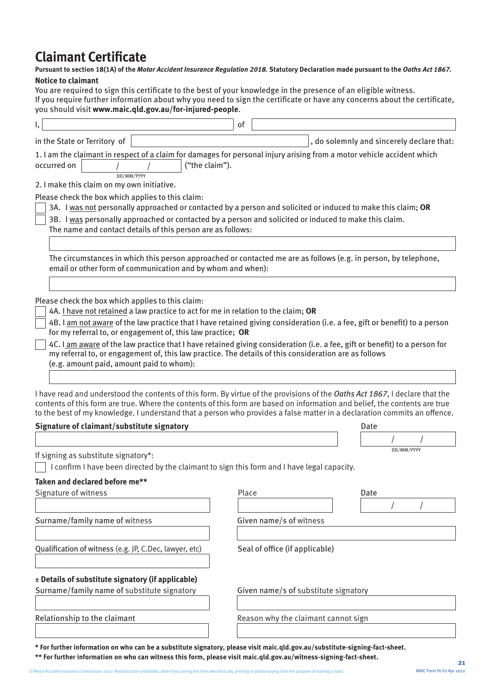### **Claimant Certificate**

#### **Pursuant to section 18(1A) of the** *Motor Accident Insurance Regulation 2018.* **Statutory Declaration made pursuant to the** *Oaths Act 1867.* **Notice to claimant**

You are required to sign this certificate to the best of your knowledge in the presence of an eligible witness. If you require further information about why you need to sign the certificate or have any concerns about the certificate, you should visit **www.maic.qld.gov.au/for-injured-people**.

|                                                                                                                                                                                                                                                                                                                                                                                                                                                                                                                                                                                                                        | of                                   |                                           |
|------------------------------------------------------------------------------------------------------------------------------------------------------------------------------------------------------------------------------------------------------------------------------------------------------------------------------------------------------------------------------------------------------------------------------------------------------------------------------------------------------------------------------------------------------------------------------------------------------------------------|--------------------------------------|-------------------------------------------|
| in the State or Territory of                                                                                                                                                                                                                                                                                                                                                                                                                                                                                                                                                                                           |                                      | , do solemnly and sincerely declare that: |
| 1. I am the claimant in respect of a claim for damages for personal injury arising from a motor vehicle accident which<br>("the claim").<br>occurred on<br>DD/MM/YYYY<br>2. I make this claim on my own initiative.                                                                                                                                                                                                                                                                                                                                                                                                    |                                      |                                           |
| Please check the box which applies to this claim:                                                                                                                                                                                                                                                                                                                                                                                                                                                                                                                                                                      |                                      |                                           |
| 3A. I was not personally approached or contacted by a person and solicited or induced to make this claim; OR<br>3B. I was personally approached or contacted by a person and solicited or induced to make this claim.<br>The name and contact details of this person are as follows:                                                                                                                                                                                                                                                                                                                                   |                                      |                                           |
|                                                                                                                                                                                                                                                                                                                                                                                                                                                                                                                                                                                                                        |                                      |                                           |
| The circumstances in which this person approached or contacted me are as follows (e.g. in person, by telephone,<br>email or other form of communication and by whom and when):                                                                                                                                                                                                                                                                                                                                                                                                                                         |                                      |                                           |
|                                                                                                                                                                                                                                                                                                                                                                                                                                                                                                                                                                                                                        |                                      |                                           |
| Please check the box which applies to this claim:<br>4A. I have not retained a law practice to act for me in relation to the claim; OR<br>4B. I am not aware of the law practice that I have retained giving consideration (i.e. a fee, gift or benefit) to a person<br>for my referral to, or engagement of, this law practice; OR<br>4C. I am aware of the law practice that I have retained giving consideration (i.e. a fee, gift or benefit) to a person for<br>my referral to, or engagement of, this law practice. The details of this consideration are as follows<br>(e.g. amount paid, amount paid to whom): |                                      |                                           |
|                                                                                                                                                                                                                                                                                                                                                                                                                                                                                                                                                                                                                        |                                      |                                           |
| I have read and understood the contents of this form. By virtue of the provisions of the Oaths Act 1867, I declare that the<br>contents of this form are true. Where the contents of this form are based on information and belief, the contents are true<br>to the best of my knowledge. I understand that a person who provides a false matter in a declaration commits an offence.<br>Signature of claimant/substitute signatory                                                                                                                                                                                    |                                      | Date                                      |
|                                                                                                                                                                                                                                                                                                                                                                                                                                                                                                                                                                                                                        |                                      |                                           |
| If signing as substitute signatory*:<br>I confirm I have been directed by the claimant to sign this form and I have legal capacity.                                                                                                                                                                                                                                                                                                                                                                                                                                                                                    |                                      | DD/MM/YYYY                                |
| Taken and declared before me**                                                                                                                                                                                                                                                                                                                                                                                                                                                                                                                                                                                         |                                      |                                           |
| Signature of witness                                                                                                                                                                                                                                                                                                                                                                                                                                                                                                                                                                                                   | Place                                | Date                                      |
| Surname/family name of witness                                                                                                                                                                                                                                                                                                                                                                                                                                                                                                                                                                                         | Given name/s of witness              |                                           |
| Qualification of witness (e.g. JP, C.Dec, lawyer, etc)                                                                                                                                                                                                                                                                                                                                                                                                                                                                                                                                                                 | Seal of office (if applicable)       |                                           |
| ± Details of substitute signatory (if applicable)<br>Surname/family name of substitute signatory                                                                                                                                                                                                                                                                                                                                                                                                                                                                                                                       | Given name/s of substitute signatory |                                           |
|                                                                                                                                                                                                                                                                                                                                                                                                                                                                                                                                                                                                                        |                                      |                                           |
| Relationship to the claimant                                                                                                                                                                                                                                                                                                                                                                                                                                                                                                                                                                                           | Reason why the claimant cannot sign  |                                           |
|                                                                                                                                                                                                                                                                                                                                                                                                                                                                                                                                                                                                                        |                                      |                                           |

**\* For further information on who can be a substitute signatory, please visit [maic.qld.gov.au/substitute-signing-fact-sheet.](https://maic.qld.gov.au/wp-content/uploads/2022/04/maic-forms-fact-sheet-substitute-signatory.pdf)**

**\*\* For further information on who can witness this form, please visit [maic.qld.gov.au/witness-signing-fact-sheet.](https://maic.qld.gov.au/wp-content/uploads/2022/04/maic-forms-fact-sheet-physical-signing-and-witnessing.pdf)**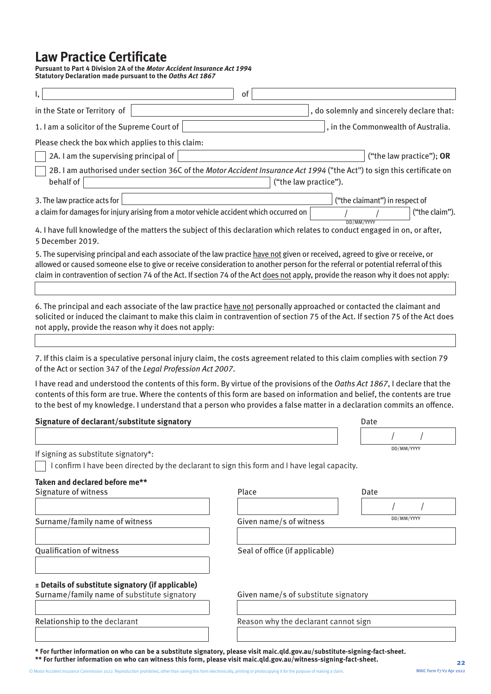### **Law Practice Certificate**

**Pursuant to Part 4 Division 2A of the** *Motor Accident Insurance Act 1994* **Statutory Declaration made pursuant to the** *Oaths Act 1867*

| I,                                                                                                                                                                                                                                                                                                                                                                                                       | of                                   |                                           |
|----------------------------------------------------------------------------------------------------------------------------------------------------------------------------------------------------------------------------------------------------------------------------------------------------------------------------------------------------------------------------------------------------------|--------------------------------------|-------------------------------------------|
| in the State or Territory of                                                                                                                                                                                                                                                                                                                                                                             |                                      | , do solemnly and sincerely declare that: |
| 1. I am a solicitor of the Supreme Court of                                                                                                                                                                                                                                                                                                                                                              |                                      | , in the Commonwealth of Australia.       |
| Please check the box which applies to this claim:                                                                                                                                                                                                                                                                                                                                                        |                                      |                                           |
| 2A. I am the supervising principal of $ $                                                                                                                                                                                                                                                                                                                                                                |                                      | ("the law practice"); OR                  |
| 2B. I am authorised under section 36C of the Motor Accident Insurance Act 1994 ("the Act") to sign this certificate on<br>behalf of                                                                                                                                                                                                                                                                      | ("the law practice").                |                                           |
| 3. The law practice acts for                                                                                                                                                                                                                                                                                                                                                                             |                                      | ("the claimant") in respect of            |
| a claim for damages for injury arising from a motor vehicle accident which occurred on                                                                                                                                                                                                                                                                                                                   |                                      | ("the claim").                            |
| 4. I have full knowledge of the matters the subject of this declaration which relates to conduct engaged in on, or after,<br>5 December 2019.                                                                                                                                                                                                                                                            |                                      | DD/MM/YYYY                                |
| 5. The supervising principal and each associate of the law practice have not given or received, agreed to give or receive, or<br>allowed or caused someone else to give or receive consideration to another person for the referral or potential referral of this<br>claim in contravention of section 74 of the Act. If section 74 of the Act does not apply, provide the reason why it does not apply: |                                      |                                           |
| 6. The principal and each associate of the law practice have not personally approached or contacted the claimant and<br>solicited or induced the claimant to make this claim in contravention of section 75 of the Act. If section 75 of the Act does<br>not apply, provide the reason why it does not apply:                                                                                            |                                      |                                           |
|                                                                                                                                                                                                                                                                                                                                                                                                          |                                      |                                           |
| 7. If this claim is a speculative personal injury claim, the costs agreement related to this claim complies with section 79<br>of the Act or section 347 of the Legal Profession Act 2007.                                                                                                                                                                                                               |                                      |                                           |
| I have read and understood the contents of this form. By virtue of the provisions of the Oaths Act 1867, I declare that the<br>contents of this form are true. Where the contents of this form are based on information and belief, the contents are true<br>to the best of my knowledge. I understand that a person who provides a false matter in a declaration commits an offence.                    |                                      |                                           |
| Signature of declarant/substitute signatory                                                                                                                                                                                                                                                                                                                                                              |                                      | Date                                      |
|                                                                                                                                                                                                                                                                                                                                                                                                          |                                      |                                           |
| If signing as substitute signatory*:                                                                                                                                                                                                                                                                                                                                                                     |                                      | DD/MM/YYYY                                |
| I confirm I have been directed by the declarant to sign this form and I have legal capacity.                                                                                                                                                                                                                                                                                                             |                                      |                                           |
| Taken and declared before me**                                                                                                                                                                                                                                                                                                                                                                           |                                      |                                           |
| Signature of witness                                                                                                                                                                                                                                                                                                                                                                                     | Place                                | Date                                      |
|                                                                                                                                                                                                                                                                                                                                                                                                          |                                      | DD/MM/YYYY                                |
| Surname/family name of witness                                                                                                                                                                                                                                                                                                                                                                           | Given name/s of witness              |                                           |
| <b>Qualification of witness</b>                                                                                                                                                                                                                                                                                                                                                                          | Seal of office (if applicable)       |                                           |
| ± Details of substitute signatory (if applicable)<br>Surname/family name of substitute signatory                                                                                                                                                                                                                                                                                                         | Given name/s of substitute signatory |                                           |
|                                                                                                                                                                                                                                                                                                                                                                                                          |                                      |                                           |
| Relationship to the declarant                                                                                                                                                                                                                                                                                                                                                                            | Reason why the declarant cannot sign |                                           |
|                                                                                                                                                                                                                                                                                                                                                                                                          |                                      |                                           |

**\* For further information on who can be a substitute signatory, please visit [maic.qld.gov.au/substitute-signing-fact-sheet.](https://maic.qld.gov.au/wp-content/uploads/2022/04/maic-forms-fact-sheet-substitute-signatory.pdf) \*\* For further information on who can witness this form, please visit [maic.qld.gov.au/witness-signing-fact-sheet.](https://maic.qld.gov.au/wp-content/uploads/2022/04/maic-forms-fact-sheet-physical-signing-and-witnessing.pdf)**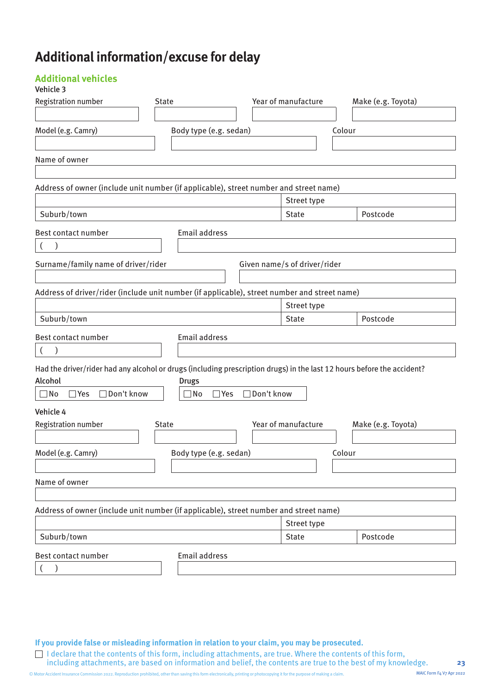## **Additional information/excuse for delay**

#### **Additional vehicles**

#### Vehicle 3

| <b>Registration number</b>                                                                                                                                                   | <b>State</b>                     | Year of manufacture          | Make (e.g. Toyota) |
|------------------------------------------------------------------------------------------------------------------------------------------------------------------------------|----------------------------------|------------------------------|--------------------|
| Model (e.g. Camry)                                                                                                                                                           | Body type (e.g. sedan)           |                              | Colour             |
| Name of owner                                                                                                                                                                |                                  |                              |                    |
| Address of owner (include unit number (if applicable), street number and street name)                                                                                        |                                  |                              |                    |
|                                                                                                                                                                              |                                  | Street type                  |                    |
| Suburb/town                                                                                                                                                                  |                                  | <b>State</b>                 | Postcode           |
| Best contact number<br>$\lambda$<br>$\left($                                                                                                                                 | <b>Email address</b>             |                              |                    |
| Surname/family name of driver/rider                                                                                                                                          |                                  | Given name/s of driver/rider |                    |
| Address of driver/rider (include unit number (if applicable), street number and street name)                                                                                 |                                  |                              |                    |
|                                                                                                                                                                              |                                  | Street type                  |                    |
| Suburb/town                                                                                                                                                                  |                                  | <b>State</b>                 | Postcode           |
| Best contact number<br>$\overline{(}$                                                                                                                                        | <b>Email address</b>             |                              |                    |
| Had the driver/rider had any alcohol or drugs (including prescription drugs) in the last 12 hours before the accident?<br>Alcohol<br>□ Don't know<br>$\Box$ No<br>$\Box$ Yes | <b>Drugs</b><br>$\Box$ No<br>Wes | □ Don't know                 |                    |
| Vehicle 4                                                                                                                                                                    |                                  |                              |                    |
| Registration number                                                                                                                                                          | <b>State</b>                     | Year of manufacture          | Make (e.g. Toyota) |
| Model (e.g. Camry)                                                                                                                                                           | Body type (e.g. sedan)           |                              | Colour             |
| Name of owner                                                                                                                                                                |                                  |                              |                    |
| Address of owner (include unit number (if applicable), street number and street name)                                                                                        |                                  |                              |                    |
| Suburb/town                                                                                                                                                                  |                                  | Street type<br><b>State</b>  | Postcode           |
| Best contact number                                                                                                                                                          | <b>Email address</b>             |                              |                    |
|                                                                                                                                                                              |                                  |                              |                    |
|                                                                                                                                                                              |                                  |                              |                    |

**If you provide false or misleading information in relation to your claim, you may be prosecuted.** 

I declare that the contents of this form, including attachments, are true. Where the contents of this form, including attachments, are based on information and belief, the contents are true to the best of my knowledge.